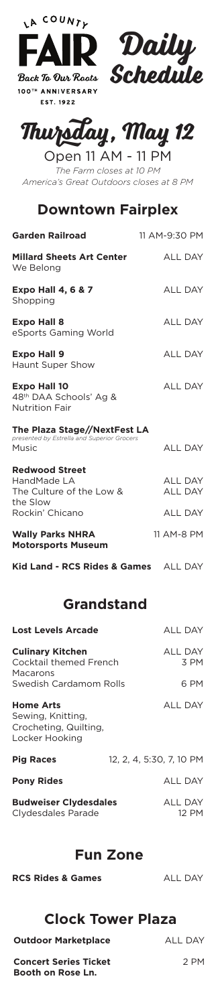

100TH ANNIVERSARY **EST. 1922** 



# **Thursday, May 12**

Open 11 AM - 11 PM *The Farm closes at 10 PM America's Great Outdoors closes at 8 PM*

### **Downtown Fairplex**

| <b>Garden Railroad</b>                                                                          | 11 AM-9:30 PM                                      |
|-------------------------------------------------------------------------------------------------|----------------------------------------------------|
| <b>Millard Sheets Art Center</b><br>We Belong                                                   | <b>ALL DAY</b>                                     |
| <b>Expo Hall 4, 6 &amp; 7</b><br>Shopping                                                       | <b>ALL DAY</b>                                     |
| <b>Expo Hall 8</b><br>eSports Gaming World                                                      | <b>ALL DAY</b>                                     |
| <b>Expo Hall 9</b><br><b>Haunt Super Show</b>                                                   | <b>ALL DAY</b>                                     |
| <b>Expo Hall 10</b><br>48th DAA Schools' Ag &<br><b>Nutrition Fair</b>                          | <b>ALL DAY</b>                                     |
| The Plaza Stage//NextFest LA<br>presented by Estrella and Superior Grocers<br>Music             | <b>ALL DAY</b>                                     |
| <b>Redwood Street</b><br>HandMade LA<br>The Culture of the Low &<br>the Slow<br>Rockin' Chicano | <b>ALL DAY</b><br><b>ALL DAY</b><br><b>ALL DAY</b> |
| <b>Wally Parks NHRA</b><br><b>Motorsports Museum</b>                                            | 11 AM-8 PM                                         |
| Kid Land - RCS Rides & Games ALL DAY                                                            |                                                    |

### **Grandstand**

| <b>Lost Levels Arcade</b>                                                               | <b>ALL DAY</b>                 |
|-----------------------------------------------------------------------------------------|--------------------------------|
| <b>Culinary Kitchen</b><br>Cocktail themed French<br>Macarons<br>Swedish Cardamom Rolls | <b>ALL DAY</b><br>3 PM<br>6 PM |
| <b>Home Arts</b><br>Sewing, Knitting,<br>Crocheting, Quilting,<br>Locker Hooking        | <b>ALL DAY</b>                 |
| <b>Pig Races</b>                                                                        | 12. 2. 4. 5:30. 7. 10 PM       |
| <b>Pony Rides</b>                                                                       | <b>ALL DAY</b>                 |
| <b>Budweiser Clydesdales</b><br>Clydesdales Parade                                      | <b>ALL DAY</b><br>12 PM        |

# **Fun Zone**

|  | RCS Rides & Games |  |
|--|-------------------|--|
|  |                   |  |

**ALL DAY** 

# **Clock Tower Plaza**

#### **Outdoor Marketplace**

**Concert Series Ticket Booth on Rose Ln.**

ALL DAY

2 PM